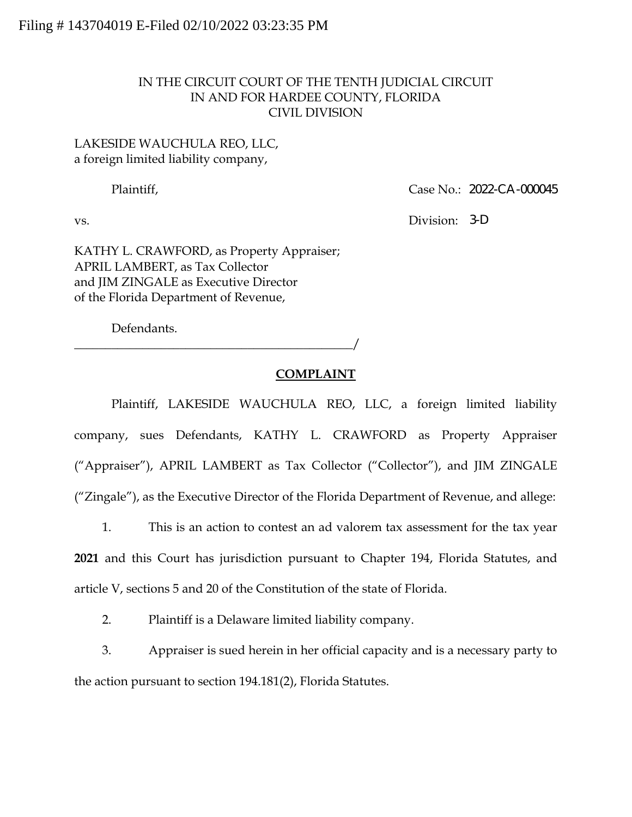## IN THE CIRCUIT COURT OF THE TENTH JUDICIAL CIRCUIT IN AND FOR HARDEE COUNTY, FLORIDA CIVIL DIVISION

## LAKESIDE WAUCHULA REO, LLC, a foreign limited liability company,

Plaintiff, 2022-CA-000045

vs. Division: **3-D** 

KATHY L. CRAWFORD, as Property Appraiser; APRIL LAMBERT, as Tax Collector and JIM ZINGALE as Executive Director of the Florida Department of Revenue,

Defendants.

\_\_\_\_\_\_\_\_\_\_\_\_\_\_\_\_\_\_\_\_\_\_\_\_\_\_\_\_\_\_\_\_\_\_\_\_\_\_\_\_\_\_\_\_\_/

## **COMPLAINT**

Plaintiff, LAKESIDE WAUCHULA REO, LLC, a foreign limited liability company, sues Defendants, KATHY L. CRAWFORD as Property Appraiser ("Appraiser"), APRIL LAMBERT as Tax Collector ("Collector"), and JIM ZINGALE ("Zingale"), as the Executive Director of the Florida Department of Revenue, and allege:

1. This is an action to contest an ad valorem tax assessment for the tax year **2021** and this Court has jurisdiction pursuant to Chapter 194, Florida Statutes, and article V, sections 5 and 20 of the Constitution of the state of Florida.

2. Plaintiff is a Delaware limited liability company.

3. Appraiser is sued herein in her official capacity and is a necessary party to the action pursuant to section 194.181(2), Florida Statutes.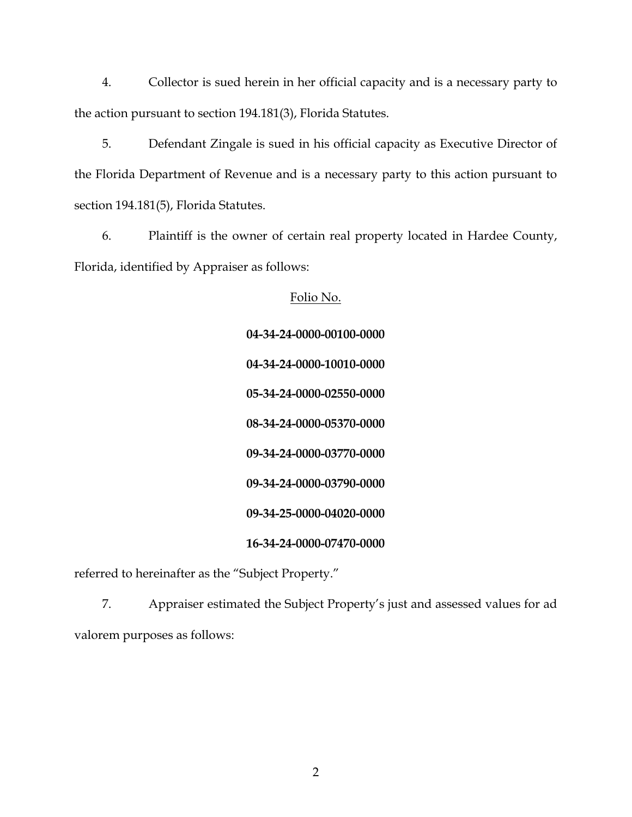4. Collector is sued herein in her official capacity and is a necessary party to the action pursuant to section 194.181(3), Florida Statutes.

5. Defendant Zingale is sued in his official capacity as Executive Director of the Florida Department of Revenue and is a necessary party to this action pursuant to section 194.181(5), Florida Statutes.

6. Plaintiff is the owner of certain real property located in Hardee County, Florida, identified by Appraiser as follows:

> Folio No. **04-34-24-0000-00100-0000 04-34-24-0000-10010-0000 05-34-24-0000-02550-0000 08-34-24-0000-05370-0000 09-34-24-0000-03770-0000 09-34-24-0000-03790-0000 09-34-25-0000-04020-0000 16-34-24-0000-07470-0000**

referred to hereinafter as the "Subject Property."

7. Appraiser estimated the Subject Property's just and assessed values for ad valorem purposes as follows: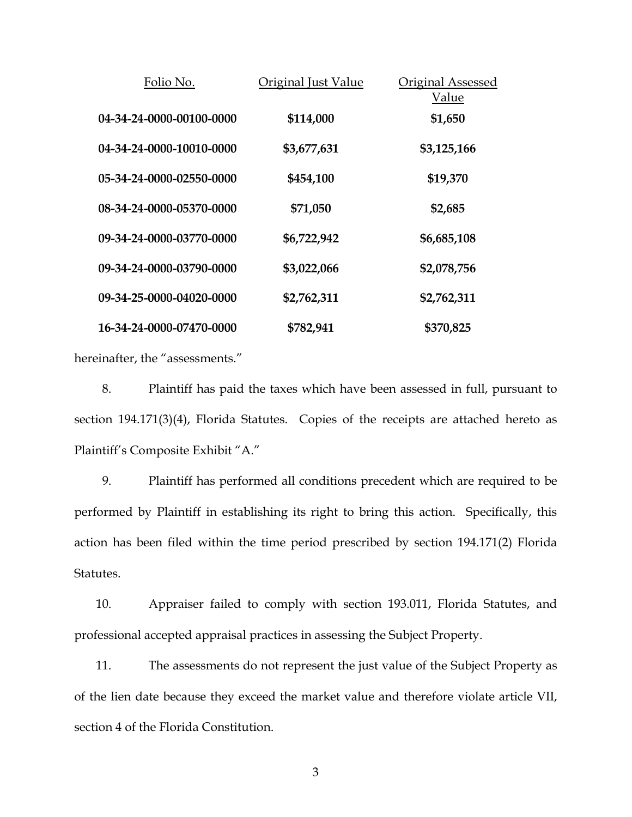| Folio No.                | Original Just Value | Original Assessed<br>Value |
|--------------------------|---------------------|----------------------------|
| 04-34-24-0000-00100-0000 | \$114,000           | \$1,650                    |
| 04-34-24-0000-10010-0000 | \$3,677,631         | \$3,125,166                |
| 05-34-24-0000-02550-0000 | \$454,100           | \$19,370                   |
| 08-34-24-0000-05370-0000 | \$71,050            | \$2,685                    |
| 09-34-24-0000-03770-0000 | \$6,722,942         | \$6,685,108                |
| 09-34-24-0000-03790-0000 | \$3,022,066         | \$2,078,756                |
| 09-34-25-0000-04020-0000 | \$2,762,311         | \$2,762,311                |
| 16-34-24-0000-07470-0000 | \$782,941           | \$370,825                  |

hereinafter, the "assessments."

8. Plaintiff has paid the taxes which have been assessed in full, pursuant to section 194.171(3)(4), Florida Statutes. Copies of the receipts are attached hereto as Plaintiff's Composite Exhibit "A."

9. Plaintiff has performed all conditions precedent which are required to be performed by Plaintiff in establishing its right to bring this action. Specifically, this action has been filed within the time period prescribed by section 194.171(2) Florida Statutes.

10. Appraiser failed to comply with section 193.011, Florida Statutes, and professional accepted appraisal practices in assessing the Subject Property.

11. The assessments do not represent the just value of the Subject Property as of the lien date because they exceed the market value and therefore violate article VII, section 4 of the Florida Constitution.

3